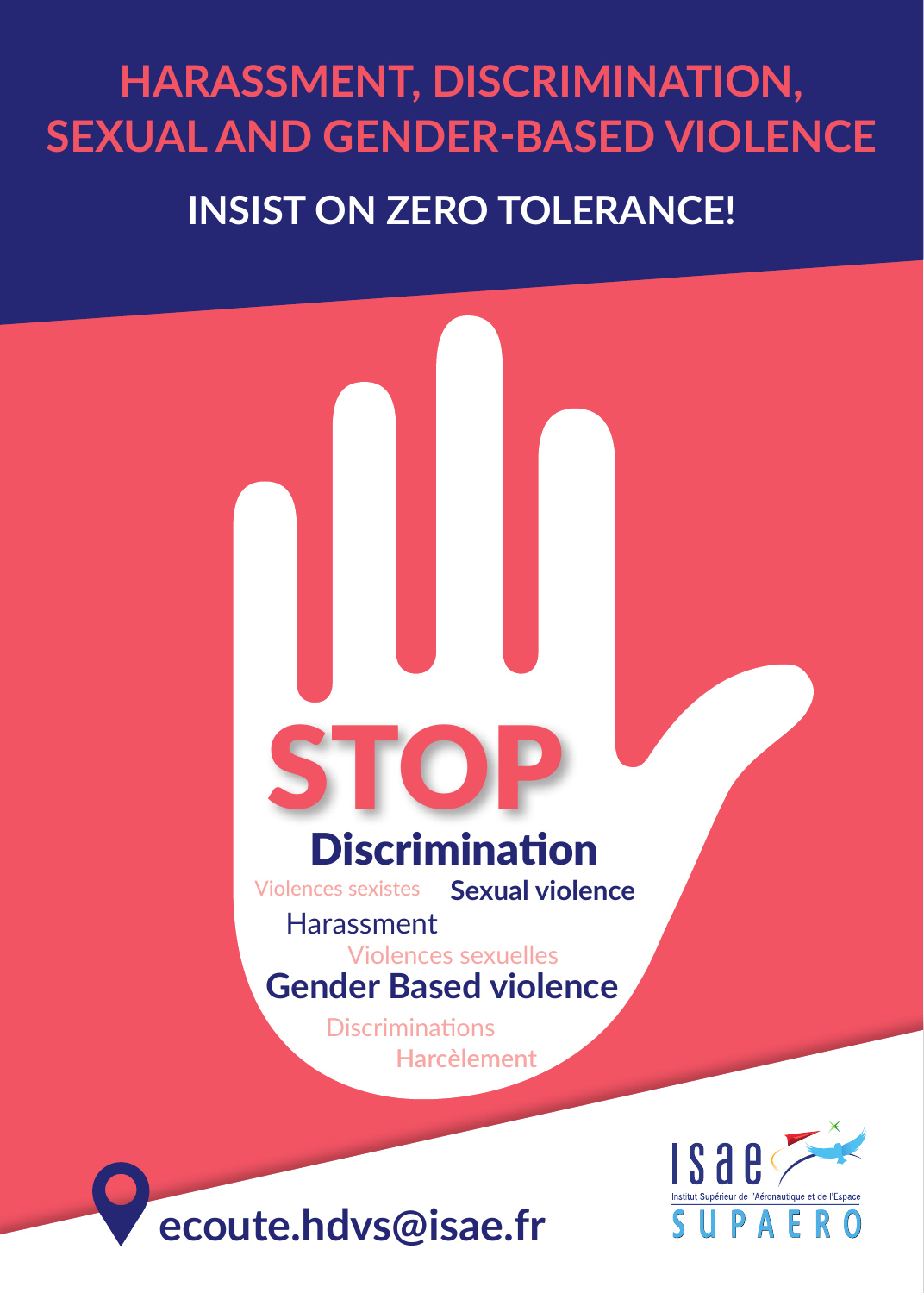## **HARASSMENT, DISCRIMINATION, SEXUAL AND GENDER-BASED VIOLENCE  INSIST ON ZERO TOLERANCE!**

# **Discrimination** STOP

**Sexual violence** Violences sexistes

#### **Harassment**

### Violences sexuelles **Gender Based violence**

**Harcèlement Discriminations** 



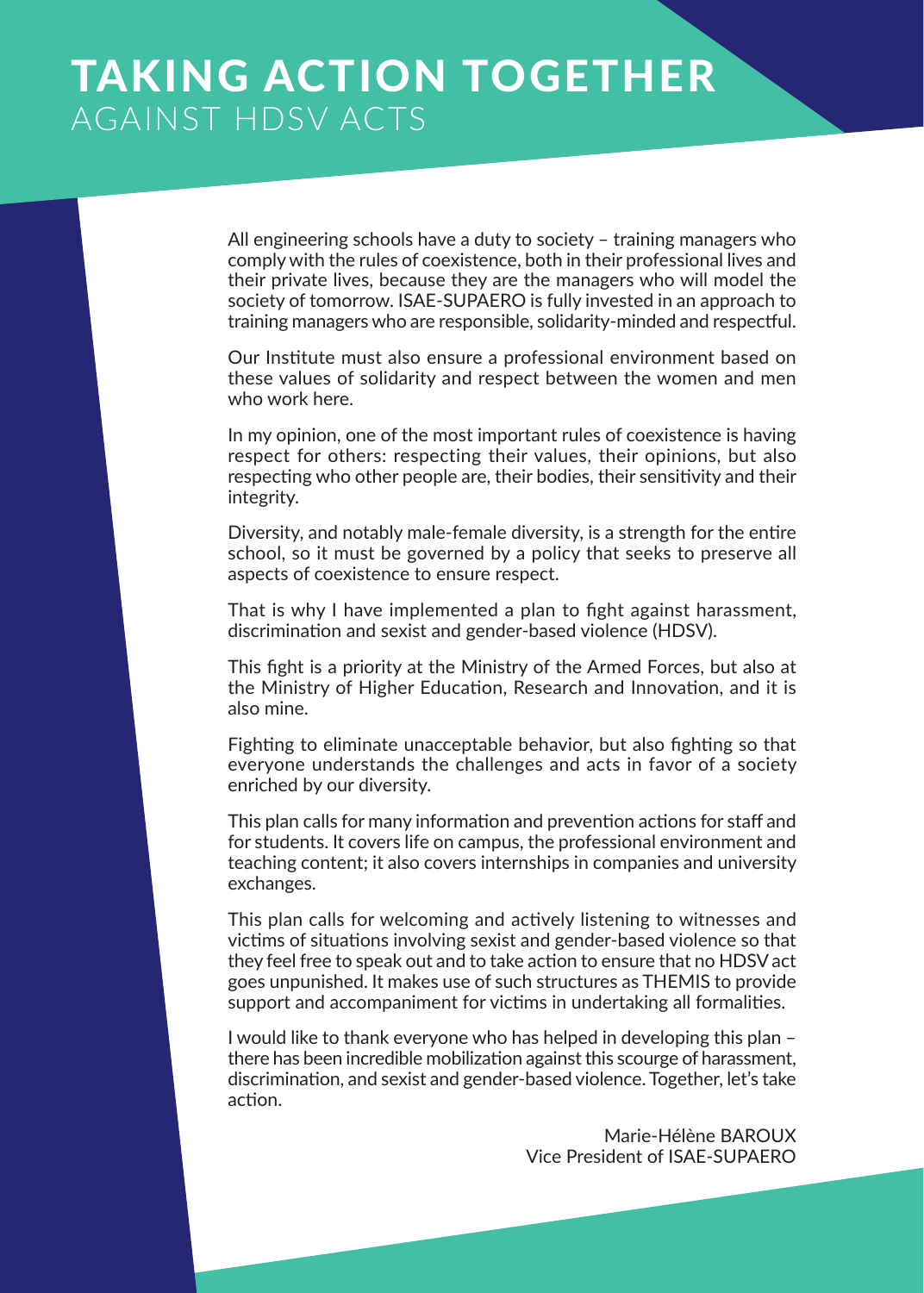## TAKING ACTION TOGETHER AGAINST HDSV ACTS

All engineering schools have a duty to society – training managers who comply with the rules of coexistence, both in their professional lives and their private lives, because they are the managers who will model the society of tomorrow. ISAE-SUPAERO is fully invested in an approach to training managers who are responsible, solidarity-minded and respectful.

Our Institute must also ensure a professional environment based on these values of solidarity and respect between the women and men who work here.

In my opinion, one of the most important rules of coexistence is having respect for others: respecting their values, their opinions, but also respecting who other people are, their bodies, their sensitivity and their integrity.

Diversity, and notably male-female diversity, is a strength for the entire school, so it must be governed by a policy that seeks to preserve all aspects of coexistence to ensure respect.

That is why I have implemented a plan to fight against harassment, discrimination and sexist and gender-based violence (HDSV).

This fight is a priority at the Ministry of the Armed Forces, but also at the Ministry of Higher Education, Research and Innovation, and it is also mine.

Fighting to eliminate unacceptable behavior, but also fighting so that everyone understands the challenges and acts in favor of a society enriched by our diversity.

This plan calls for many information and prevention actions for staff and for students. It covers life on campus, the professional environment and teaching content; it also covers internships in companies and university exchanges.

This plan calls for welcoming and actively listening to witnesses and victims of situations involving sexist and gender-based violence so that they feel free to speak out and to take action to ensure that no HDSV act goes unpunished. It makes use of such structures as THEMIS to provide support and accompaniment for victims in undertaking all formalities.

I would like to thank everyone who has helped in developing this plan – there has been incredible mobilization against this scourge of harassment, discrimination, and sexist and gender-based violence. Together, let's take action.

> Marie-Hélène BAROUX Vice President of ISAE-SUPAERO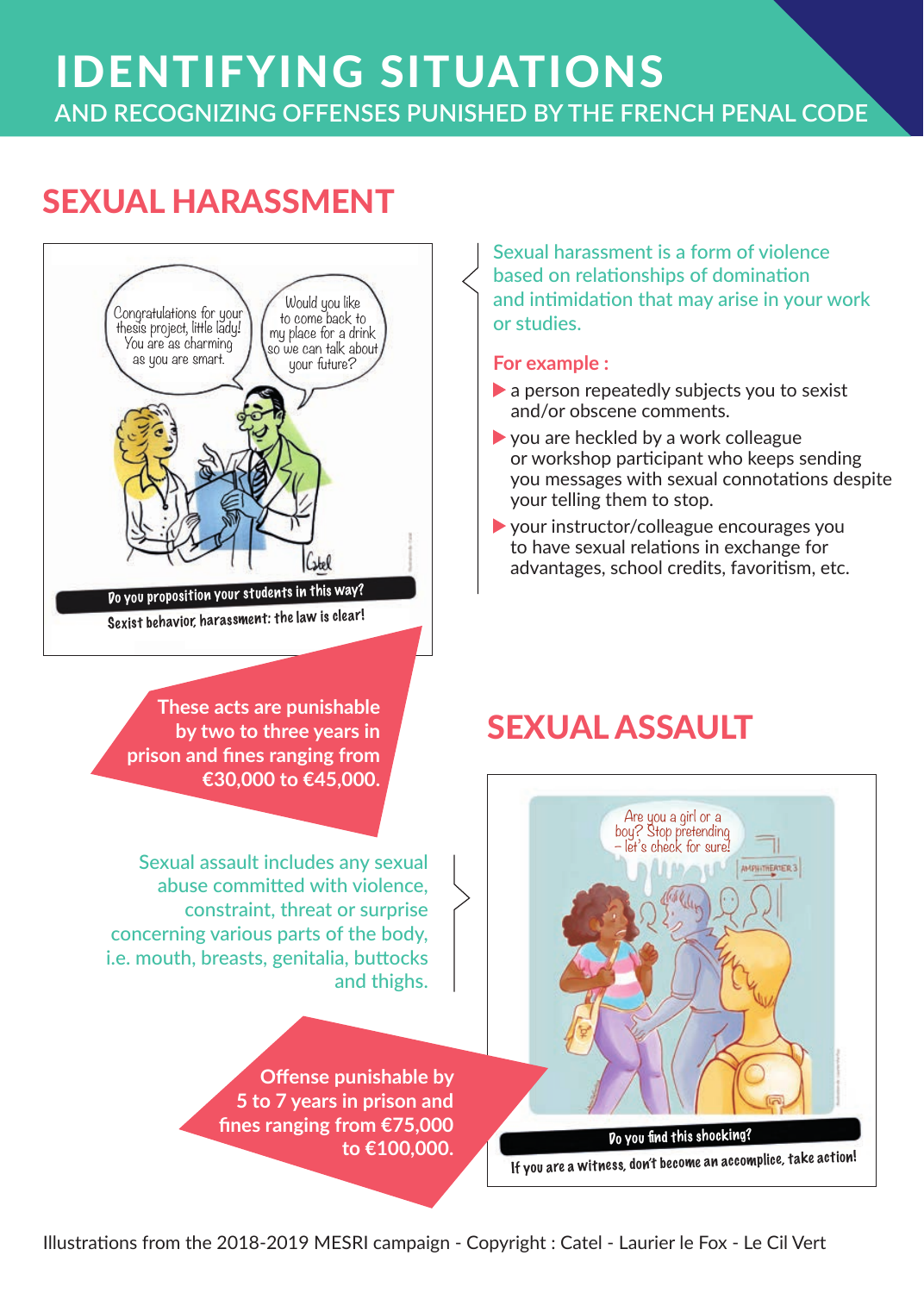## IDENTIFYING SITUATIONS **AND RECOGNIZING OFFENSES PUNISHED BY THE FRENCH PENAL CODE**

## SEXUAL HARASSMENT



**These acts are punishable by two to three years in prison and fines ranging from €30,000 to €45,000.**

Sexual assault includes any sexual abuse committed with violence, constraint, threat or surprise concerning various parts of the body, i.e. mouth, breasts, genitalia, buttocks and thighs.

> **Offense punishable by 5 to 7 years in prison and fines ranging from €75,000 to €100,000.**

Sexual harassment is a form of violence based on relationships of domination and intimidation that may arise in your work or studies.

#### **For example :**

- a person repeatedly subjects you to sexist and/or obscene comments.
- $\triangleright$  you are heckled by a work colleague or workshop participant who keeps sending you messages with sexual connotations despite your telling them to stop.
- your instructor/colleague encourages you to have sexual relations in exchange for advantages, school credits, favoritism, etc.

## SEXUAL ASSAULT

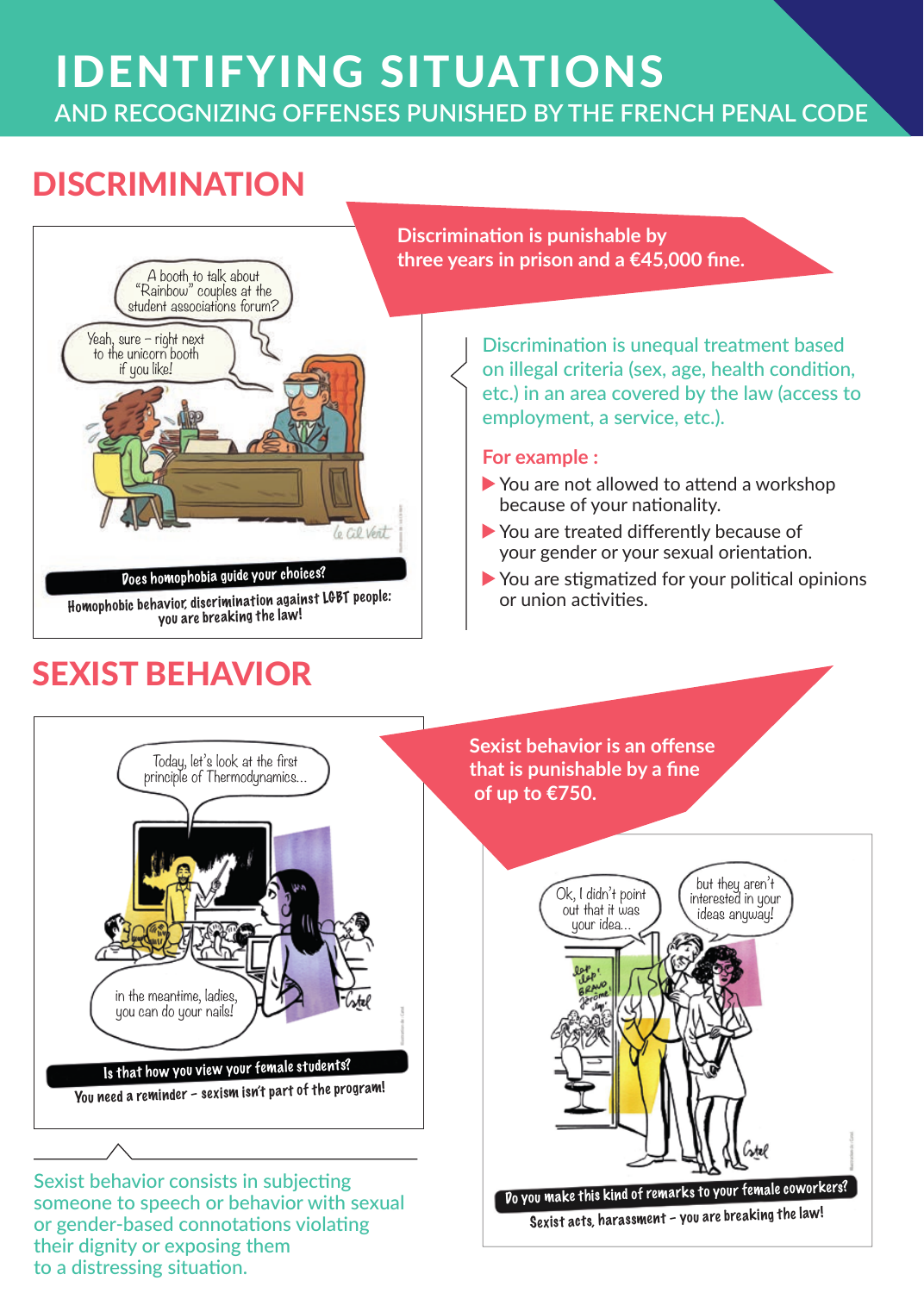# IDENTIFYING SITUATIONS

**AND RECOGNIZING OFFENSES PUNISHED BY THE FRENCH PENAL CODE**

## **DISCRIMINATION**



or gender-based connotations violating their dignity or exposing them to a distressing situation.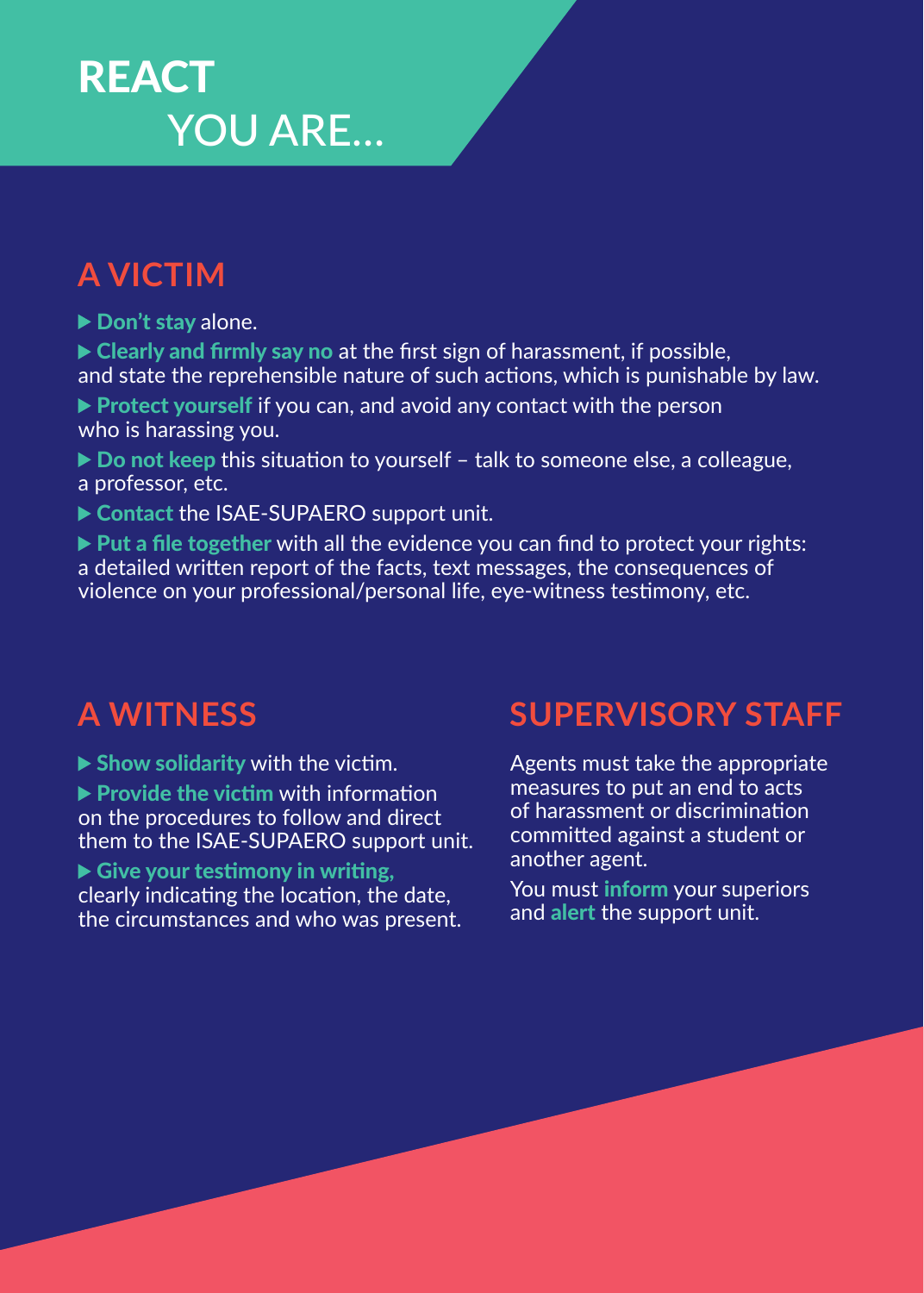## **REACT** YOU ARE…

## **A VICTIM**

▶ Don't stay alone.

 $\triangleright$  Clearly and firmly say no at the first sign of harassment, if possible, and state the reprehensible nature of such actions, which is punishable by law.

- ▶ Protect yourself if you can, and avoid any contact with the person who is harassing you.
- ▶ Do not keep this situation to yourself talk to someone else, a colleague, a professor, etc.
- ▶ Contact the ISAE-SUPAERO support unit.

 $\triangleright$  Put a file together with all the evidence you can find to protect your rights: a detailed written report of the facts, text messages, the consequences of violence on your professional/personal life, eye-witness testimony, etc.

 $\blacktriangleright$  Show solidarity with the victim.

 $\blacktriangleright$  Provide the victim with information on the procedures to follow and direct them to the ISAE-SUPAERO support unit.

Give your testimony in writing,

clearly indicating the location, the date, the circumstances and who was present.

## **A WITNESS SUPERVISORY STAFF**

Agents must take the appropriate measures to put an end to acts of harassment or discrimination committed against a student or another agent.

You must **inform** your superiors and alert the support unit.